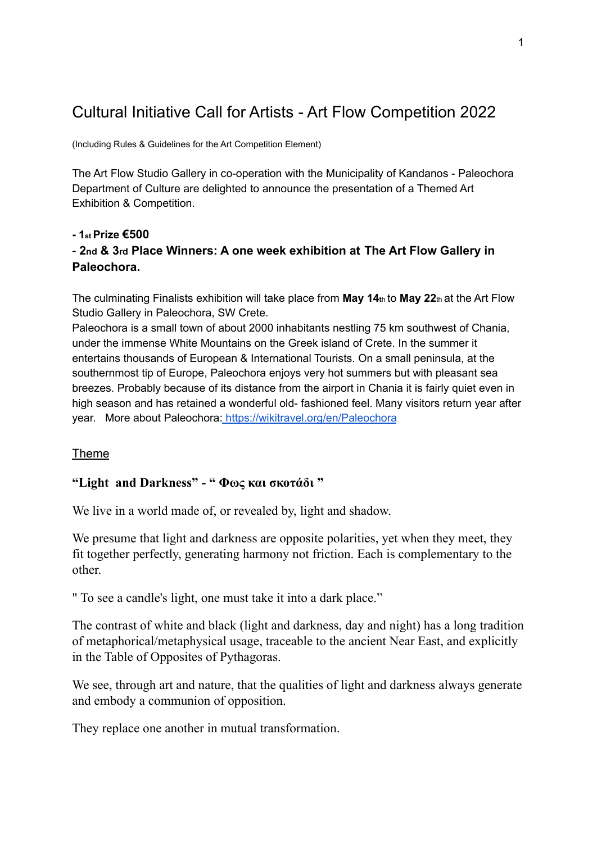# Cultural Initiative Call for Artists - Art Flow Competition 2022

(Including Rules & Guidelines for the Art Competition Element)

The Art Flow Studio Gallery in co-operation with the Municipality of Kandanos - Paleochora Department of Culture are delighted to announce the presentation of a Themed Art Exhibition & Competition.

# **- 1st Prize €500** - **2nd & 3rd Place Winners: A one week exhibition at The Art Flow Gallery in Paleochora.**

The culminating Finalists exhibition will take place from **May 14t**<sup>h</sup> to **May 22**th at the Art Flow Studio Gallery in Paleochora, SW Crete.

Paleochora is a small town of about 2000 inhabitants nestling 75 km southwest of Chania, under the immense White Mountains on the Greek island of Crete. In the summer it entertains thousands of European & International Tourists. On a small peninsula, at the southernmost tip of Europe, Paleochora enjoys very hot summers but with pleasant sea breezes. Probably because of its distance from the airport in Chania it is fairly quiet even in high season and has retained a wonderful old- fashioned feel. Many visitors return year after year. More about Paleochora: <https://wikitravel.org/en/Paleochora>

# Theme

# **"Light and Darkness" - " Φως και σκοτάδι "**

We live in a world made of, or revealed by, light and shadow.

We presume that light and darkness are opposite polarities, yet when they meet, they fit together perfectly, generating harmony not friction. Each is complementary to the other.

" To see a candle's light, one must take it into a dark place."

The contrast of white and black (light and darkness, day and night) has a long tradition of metaphorical/metaphysical usage, traceable to the ancient Near East, and explicitly in the Table of Opposites of Pythagoras.

We see, through art and nature, that the qualities of light and darkness always generate and embody a communion of opposition.

They replace one another in mutual transformation.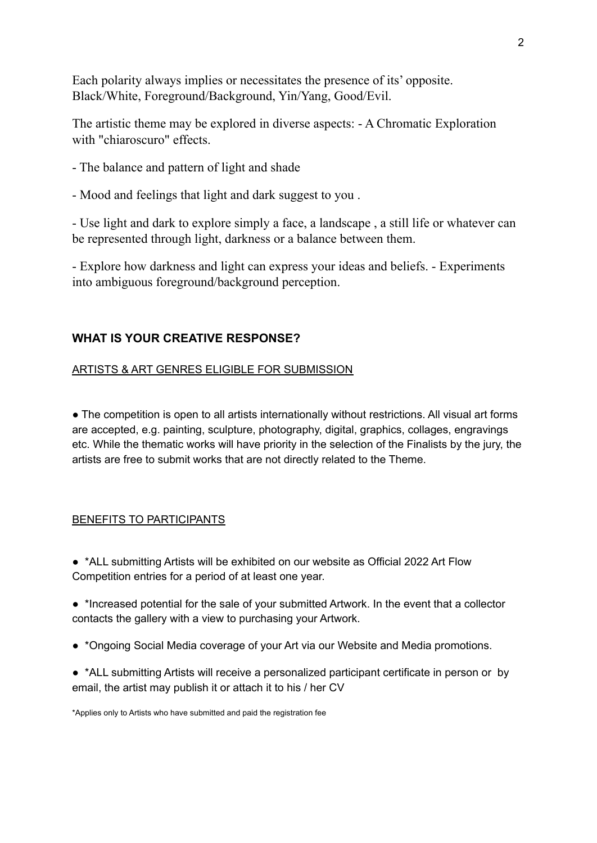Each polarity always implies or necessitates the presence of its' opposite. Black/White, Foreground/Background, Yin/Yang, Good/Evil.

The artistic theme may be explored in diverse aspects: - A Chromatic Exploration with "chiaroscuro" effects.

- The balance and pattern of light and shade
- Mood and feelings that light and dark suggest to you .

- Use light and dark to explore simply a face, a landscape , a still life or whatever can be represented through light, darkness or a balance between them.

- Explore how darkness and light can express your ideas and beliefs. - Experiments into ambiguous foreground/background perception.

# **WHAT IS YOUR CREATIVE RESPONSE?**

#### ARTISTS & ART GENRES ELIGIBLE FOR SUBMISSION

• The competition is open to all artists internationally without restrictions. All visual art forms are accepted, e.g. painting, sculpture, photography, digital, graphics, collages, engravings etc. While the thematic works will have priority in the selection of the Finalists by the jury, the artists are free to submit works that are not directly related to the Theme.

### BENEFITS TO PARTICIPANTS

- \*ALL submitting Artists will be exhibited on our website as Official 2022 Art Flow Competition entries for a period of at least one year.
- \*Increased potential for the sale of your submitted Artwork. In the event that a collector contacts the gallery with a view to purchasing your Artwork.
- \*Ongoing Social Media coverage of your Art via our Website and Media promotions.
- \*ALL submitting Artists will receive a personalized participant certificate in person or by email, the artist may publish it or attach it to his / her CV

<sup>\*</sup>Applies only to Artists who have submitted and paid the registration fee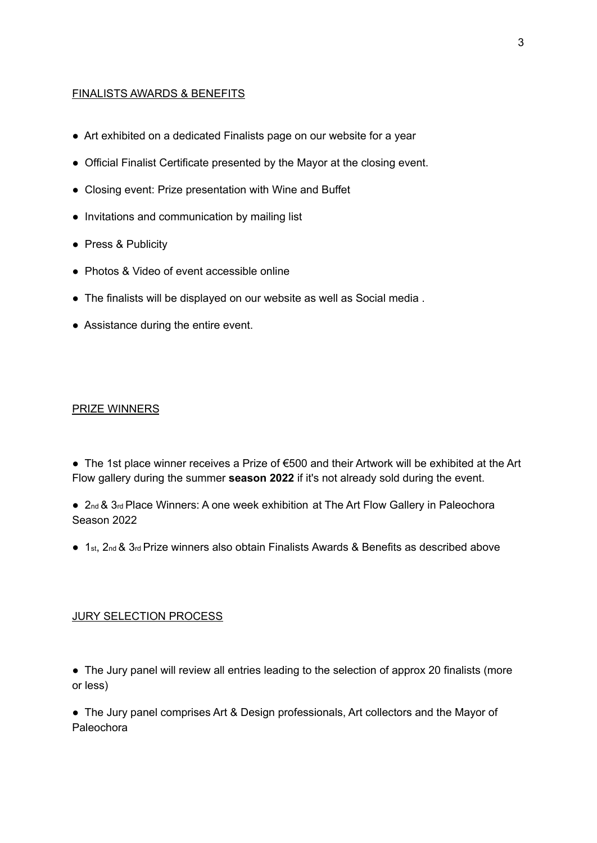## FINALISTS AWARDS & BENEFITS

- Art exhibited on a dedicated Finalists page on our website for a year
- Official Finalist Certificate presented by the Mayor at the closing event.
- Closing event: Prize presentation with Wine and Buffet
- Invitations and communication by mailing list
- Press & Publicity
- Photos & Video of event accessible online
- The finalists will be displayed on our website as well as Social media .
- Assistance during the entire event.

#### PRIZE WINNERS

● The 1st place winner receives a Prize of €500 and their Artwork will be exhibited at the Art Flow gallery during the summer **season 2022** if it's not already sold during the event.

- 2nd & 3rd Place Winners: A one week exhibition at The Art Flow Gallery in Paleochora Season 2022
- 1st, 2nd & 3rd Prize winners also obtain Finalists Awards & Benefits as described above

#### JURY SELECTION PROCESS

• The Jury panel will review all entries leading to the selection of approx 20 finalists (more or less)

• The Jury panel comprises Art & Design professionals, Art collectors and the Mayor of Paleochora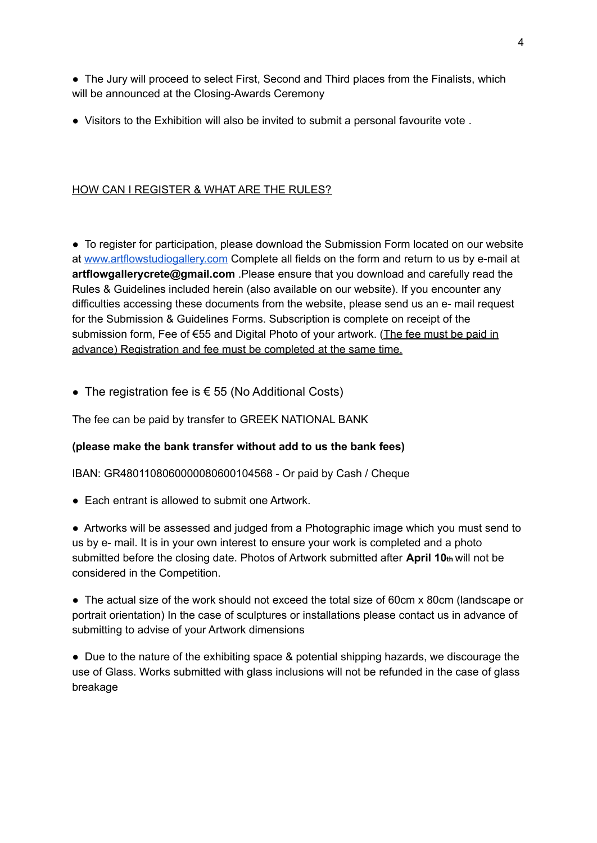• The Jury will proceed to select First, Second and Third places from the Finalists, which will be announced at the Closing-Awards Ceremony

● Visitors to the Exhibition will also be invited to submit a personal favourite vote.

# HOW CAN I REGISTER & WHAT ARE THE RULES?

● To register for participation, please download the Submission Form located on our website at [www.artflowstudiogallery.com](http://www.artflowstudiogallery.com) Complete all fields on the form and return to us by e-mail at **artflowgallerycrete@gmail.com** .Please ensure that you download and carefully read the Rules & Guidelines included herein (also available on our website). If you encounter any difficulties accessing these documents from the website, please send us an e- mail request for the Submission & Guidelines Forms. Subscription is complete on receipt of the submission form, Fee of €55 and Digital Photo of your artwork. (The fee must be paid in advance) Registration and fee must be completed at the same time.

• The registration fee is  $\epsilon$  55 (No Additional Costs)

The fee can be paid by transfer to GREEK NATIONAL BANK

# **(please make the bank transfer without add to us the bank fees)**

IBAN: GR4801108060000080600104568 - Or paid by Cash / Cheque

● Each entrant is allowed to submit one Artwork

● Artworks will be assessed and judged from a Photographic image which you must send to us by e- mail. It is in your own interest to ensure your work is completed and a photo submitted before the closing date. Photos of Artwork submitted after **April 10th** will not be considered in the Competition.

● The actual size of the work should not exceed the total size of 60cm x 80cm (landscape or portrait orientation) In the case of sculptures or installations please contact us in advance of submitting to advise of your Artwork dimensions

● Due to the nature of the exhibiting space & potential shipping hazards, we discourage the use of Glass. Works submitted with glass inclusions will not be refunded in the case of glass breakage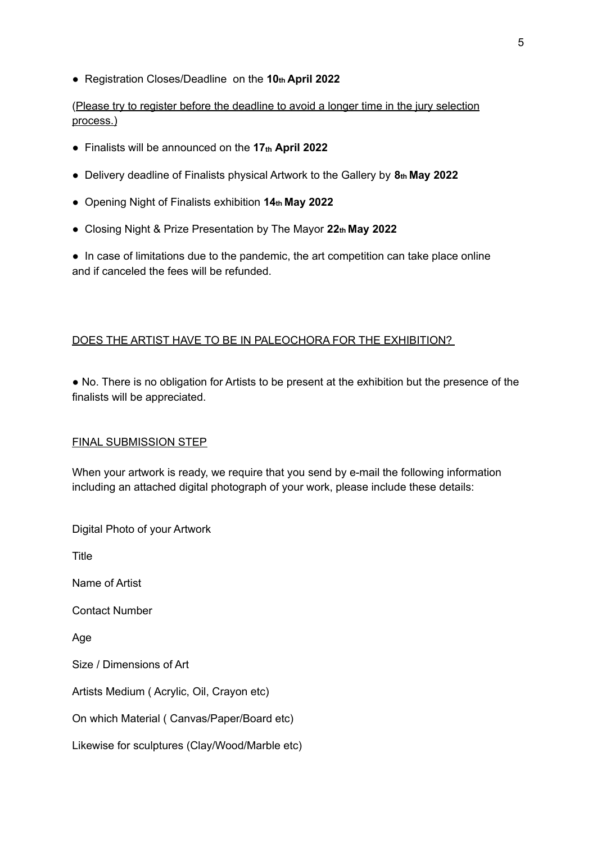● Registration Closes/Deadline on the **10th April 2022**

(Please try to register before the deadline to avoid a longer time in the jury selection process.)

- Finalists will be announced on the **17th April 2022**
- Delivery deadline of Finalists physical Artwork to the Gallery by **8th May 2022**
- Opening Night of Finalists exhibition **14th May 2022**
- Closing Night & Prize Presentation by The Mayor **22th May 2022**

• In case of limitations due to the pandemic, the art competition can take place online and if canceled the fees will be refunded.

# DOES THE ARTIST HAVE TO BE IN PALEOCHORA FOR THE EXHIBITION?

● No. There is no obligation for Artists to be present at the exhibition but the presence of the finalists will be appreciated.

### FINAL SUBMISSION STEP

When your artwork is ready, we require that you send by e-mail the following information including an attached digital photograph of your work, please include these details:

Digital Photo of your Artwork

Title

Name of Artist

Contact Number

Age

Size / Dimensions of Art

Artists Medium ( Acrylic, Oil, Crayon etc)

On which Material ( Canvas/Paper/Board etc)

Likewise for sculptures (Clay/Wood/Marble etc)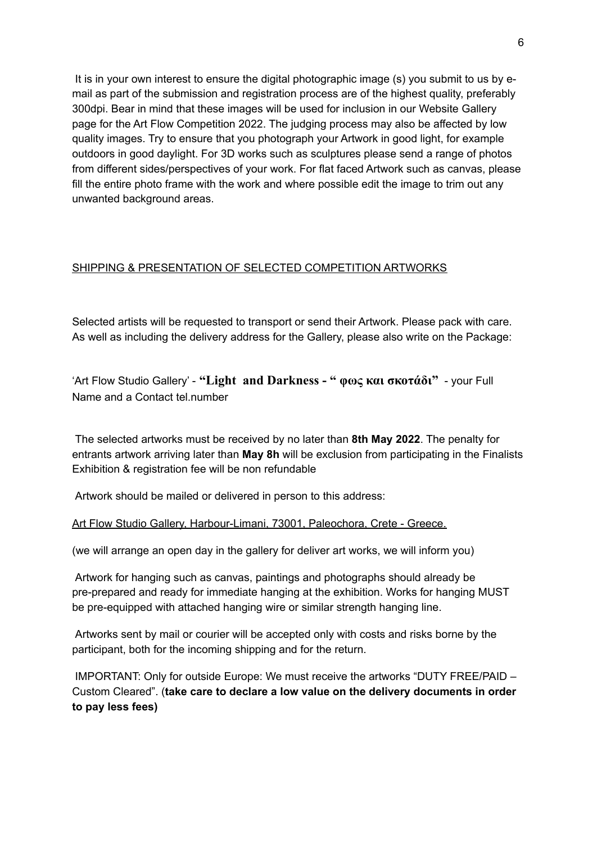It is in your own interest to ensure the digital photographic image (s) you submit to us by email as part of the submission and registration process are of the highest quality, preferably 300dpi. Bear in mind that these images will be used for inclusion in our Website Gallery page for the Art Flow Competition 2022. The judging process may also be affected by low quality images. Try to ensure that you photograph your Artwork in good light, for example outdoors in good daylight. For 3D works such as sculptures please send a range of photos from different sides/perspectives of your work. For flat faced Artwork such as canvas, please fill the entire photo frame with the work and where possible edit the image to trim out any unwanted background areas.

# SHIPPING & PRESENTATION OF SELECTED COMPETITION ARTWORKS

Selected artists will be requested to transport or send their Artwork. Please pack with care. As well as including the delivery address for the Gallery, please also write on the Package:

'Art Flow Studio Gallery' - **"Light and Darkness - " φως και σκοτάδι"** - your Full Name and a Contact tel number

The selected artworks must be received by no later than **8th May 2022**. The penalty for entrants artwork arriving later than **May 8h** will be exclusion from participating in the Finalists Exhibition & registration fee will be non refundable

Artwork should be mailed or delivered in person to this address:

Art Flow Studio Gallery, Harbour-Limani, 73001, Paleochora, Crete - Greece.

(we will arrange an open day in the gallery for deliver art works, we will inform you)

Artwork for hanging such as canvas, paintings and photographs should already be pre-prepared and ready for immediate hanging at the exhibition. Works for hanging MUST be pre-equipped with attached hanging wire or similar strength hanging line.

Artworks sent by mail or courier will be accepted only with costs and risks borne by the participant, both for the incoming shipping and for the return.

IMPORTANT: Only for outside Europe: We must receive the artworks "DUTY FREE/PAID – Custom Cleared". (**take care to declare a low value on the delivery documents in order to pay less fees)**